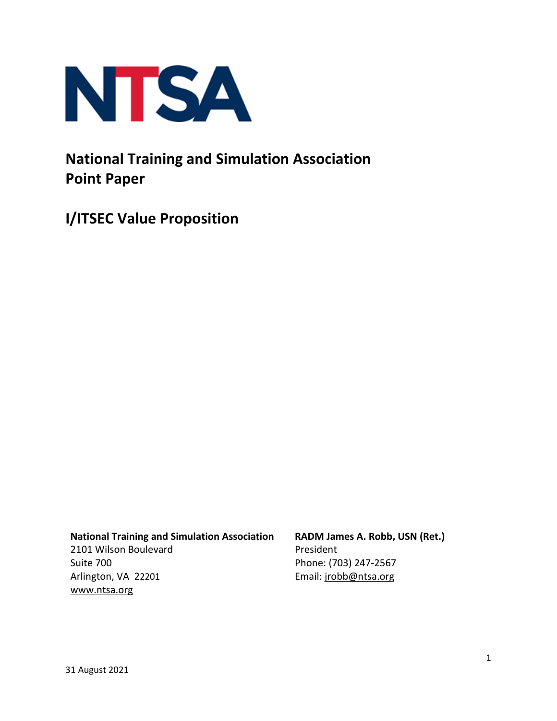

# **National Training and Simulation Association Point Paper**

**I/ITSEC Value Proposition**

**National Training and Simulation Association**

2101 Wilson Boulevard Suite 700 Arlington, VA 22201 www.ntsa.org

**RADM James A. Robb, USN (Ret.)** President Phone: (703) 247-2567 Email: jrobb@ntsa.org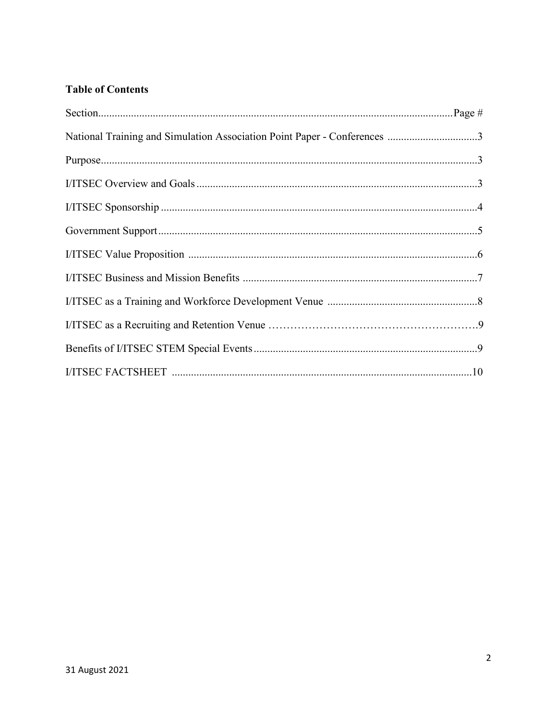### **Table of Contents**

| National Training and Simulation Association Point Paper - Conferences 3 |  |
|--------------------------------------------------------------------------|--|
|                                                                          |  |
|                                                                          |  |
|                                                                          |  |
|                                                                          |  |
|                                                                          |  |
|                                                                          |  |
|                                                                          |  |
|                                                                          |  |
|                                                                          |  |
|                                                                          |  |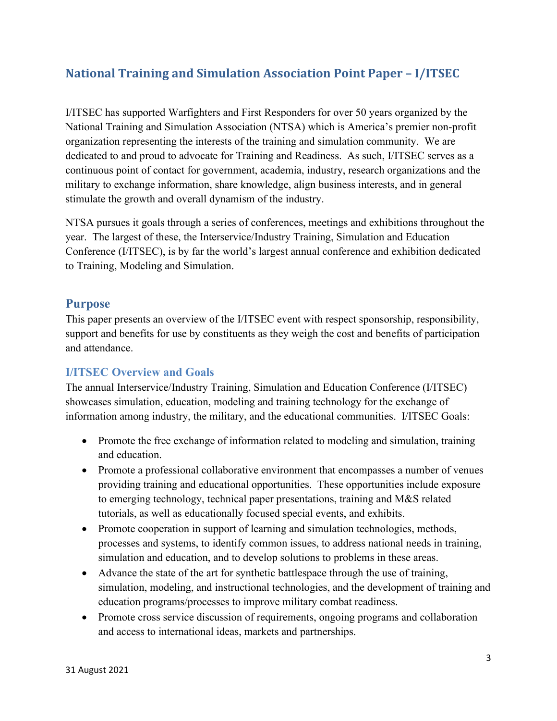# **National Training and Simulation Association Point Paper – I/ITSEC**

I/ITSEC has supported Warfighters and First Responders for over 50 years organized by the National Training and Simulation Association (NTSA) which is America's premier non-profit organization representing the interests of the training and simulation community. We are dedicated to and proud to advocate for Training and Readiness. As such, I/ITSEC serves as a continuous point of contact for government, academia, industry, research organizations and the military to exchange information, share knowledge, align business interests, and in general stimulate the growth and overall dynamism of the industry.

NTSA pursues it goals through a series of conferences, meetings and exhibitions throughout the year. The largest of these, the Interservice/Industry Training, Simulation and Education Conference (I/ITSEC), is by far the world's largest annual conference and exhibition dedicated to Training, Modeling and Simulation.

#### **Purpose**

This paper presents an overview of the I/ITSEC event with respect sponsorship, responsibility, support and benefits for use by constituents as they weigh the cost and benefits of participation and attendance.

#### **I/ITSEC Overview and Goals**

The annual Interservice/Industry Training, Simulation and Education Conference (I/ITSEC) showcases simulation, education, modeling and training technology for the exchange of information among industry, the military, and the educational communities. I/ITSEC Goals:

- Promote the free exchange of information related to modeling and simulation, training and education.
- Promote a professional collaborative environment that encompasses a number of venues providing training and educational opportunities. These opportunities include exposure to emerging technology, technical paper presentations, training and M&S related tutorials, as well as educationally focused special events, and exhibits.
- Promote cooperation in support of learning and simulation technologies, methods, processes and systems, to identify common issues, to address national needs in training, simulation and education, and to develop solutions to problems in these areas.
- Advance the state of the art for synthetic battlespace through the use of training, simulation, modeling, and instructional technologies, and the development of training and education programs/processes to improve military combat readiness.
- Promote cross service discussion of requirements, ongoing programs and collaboration and access to international ideas, markets and partnerships.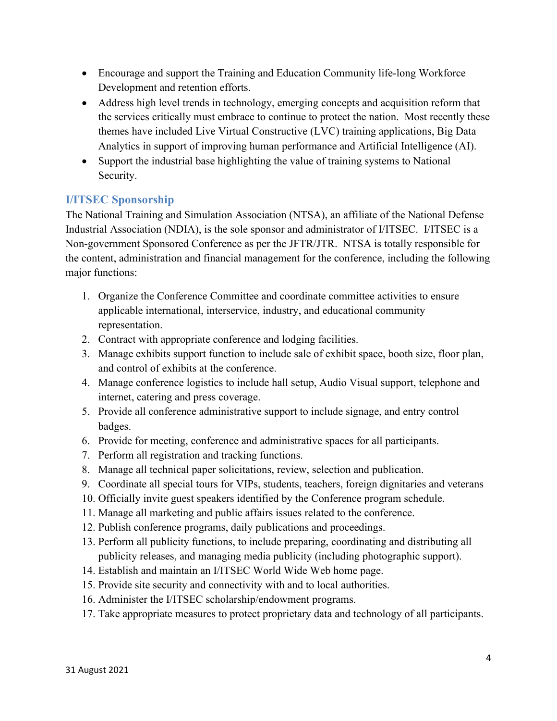- Encourage and support the Training and Education Community life-long Workforce Development and retention efforts.
- Address high level trends in technology, emerging concepts and acquisition reform that the services critically must embrace to continue to protect the nation. Most recently these themes have included Live Virtual Constructive (LVC) training applications, Big Data Analytics in support of improving human performance and Artificial Intelligence (AI).
- Support the industrial base highlighting the value of training systems to National Security.

### **I/ITSEC Sponsorship**

The National Training and Simulation Association (NTSA), an affiliate of the National Defense Industrial Association (NDIA), is the sole sponsor and administrator of I/ITSEC. I/ITSEC is a Non-government Sponsored Conference as per the JFTR/JTR. NTSA is totally responsible for the content, administration and financial management for the conference, including the following major functions:

- 1. Organize the Conference Committee and coordinate committee activities to ensure applicable international, interservice, industry, and educational community representation.
- 2. Contract with appropriate conference and lodging facilities.
- 3. Manage exhibits support function to include sale of exhibit space, booth size, floor plan, and control of exhibits at the conference.
- 4. Manage conference logistics to include hall setup, Audio Visual support, telephone and internet, catering and press coverage.
- 5. Provide all conference administrative support to include signage, and entry control badges.
- 6. Provide for meeting, conference and administrative spaces for all participants.
- 7. Perform all registration and tracking functions.
- 8. Manage all technical paper solicitations, review, selection and publication.
- 9. Coordinate all special tours for VIPs, students, teachers, foreign dignitaries and veterans
- 10. Officially invite guest speakers identified by the Conference program schedule.
- 11. Manage all marketing and public affairs issues related to the conference.
- 12. Publish conference programs, daily publications and proceedings.
- 13. Perform all publicity functions, to include preparing, coordinating and distributing all publicity releases, and managing media publicity (including photographic support).
- 14. Establish and maintain an I/ITSEC World Wide Web home page.
- 15. Provide site security and connectivity with and to local authorities.
- 16. Administer the I/ITSEC scholarship/endowment programs.
- 17. Take appropriate measures to protect proprietary data and technology of all participants.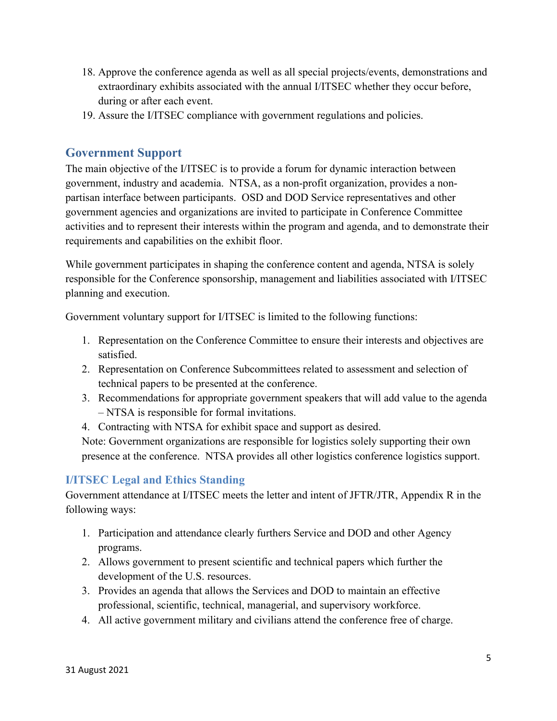- 18. Approve the conference agenda as well as all special projects/events, demonstrations and extraordinary exhibits associated with the annual I/ITSEC whether they occur before, during or after each event.
- 19. Assure the I/ITSEC compliance with government regulations and policies.

#### **Government Support**

The main objective of the I/ITSEC is to provide a forum for dynamic interaction between government, industry and academia. NTSA, as a non-profit organization, provides a nonpartisan interface between participants. OSD and DOD Service representatives and other government agencies and organizations are invited to participate in Conference Committee activities and to represent their interests within the program and agenda, and to demonstrate their requirements and capabilities on the exhibit floor.

While government participates in shaping the conference content and agenda, NTSA is solely responsible for the Conference sponsorship, management and liabilities associated with I/ITSEC planning and execution.

Government voluntary support for I/ITSEC is limited to the following functions:

- 1. Representation on the Conference Committee to ensure their interests and objectives are satisfied.
- 2. Representation on Conference Subcommittees related to assessment and selection of technical papers to be presented at the conference.
- 3. Recommendations for appropriate government speakers that will add value to the agenda – NTSA is responsible for formal invitations.
- 4. Contracting with NTSA for exhibit space and support as desired.

Note: Government organizations are responsible for logistics solely supporting their own presence at the conference. NTSA provides all other logistics conference logistics support.

#### **I/ITSEC Legal and Ethics Standing**

Government attendance at I/ITSEC meets the letter and intent of JFTR/JTR, Appendix R in the following ways:

- 1. Participation and attendance clearly furthers Service and DOD and other Agency programs.
- 2. Allows government to present scientific and technical papers which further the development of the U.S. resources.
- 3. Provides an agenda that allows the Services and DOD to maintain an effective professional, scientific, technical, managerial, and supervisory workforce.
- 4. All active government military and civilians attend the conference free of charge.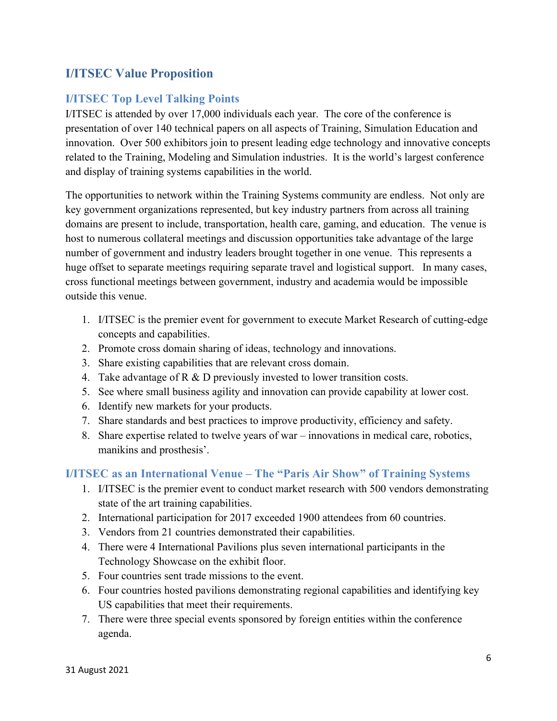### **I/ITSEC Value Proposition**

### **I/ITSEC Top Level Talking Points**

I/ITSEC is attended by over 17,000 individuals each year. The core of the conference is presentation of over 140 technical papers on all aspects of Training, Simulation Education and innovation. Over 500 exhibitors join to present leading edge technology and innovative concepts related to the Training, Modeling and Simulation industries. It is the world's largest conference and display of training systems capabilities in the world.

The opportunities to network within the Training Systems community are endless. Not only are key government organizations represented, but key industry partners from across all training domains are present to include, transportation, health care, gaming, and education. The venue is host to numerous collateral meetings and discussion opportunities take advantage of the large number of government and industry leaders brought together in one venue. This represents a huge offset to separate meetings requiring separate travel and logistical support. In many cases, cross functional meetings between government, industry and academia would be impossible outside this venue.

- 1. I/ITSEC is the premier event for government to execute Market Research of cutting-edge concepts and capabilities.
- 2. Promote cross domain sharing of ideas, technology and innovations.
- 3. Share existing capabilities that are relevant cross domain.
- 4. Take advantage of  $R \& D$  previously invested to lower transition costs.
- 5. See where small business agility and innovation can provide capability at lower cost.
- 6. Identify new markets for your products.
- 7. Share standards and best practices to improve productivity, efficiency and safety.
- 8. Share expertise related to twelve years of war innovations in medical care, robotics, manikins and prosthesis'.

#### **I/ITSEC as an International Venue – The "Paris Air Show" of Training Systems**

- 1. I/ITSEC is the premier event to conduct market research with 500 vendors demonstrating state of the art training capabilities.
- 2. International participation for 2017 exceeded 1900 attendees from 60 countries.
- 3. Vendors from 21 countries demonstrated their capabilities.
- 4. There were 4 International Pavilions plus seven international participants in the Technology Showcase on the exhibit floor.
- 5. Four countries sent trade missions to the event.
- 6. Four countries hosted pavilions demonstrating regional capabilities and identifying key US capabilities that meet their requirements.
- 7. There were three special events sponsored by foreign entities within the conference agenda.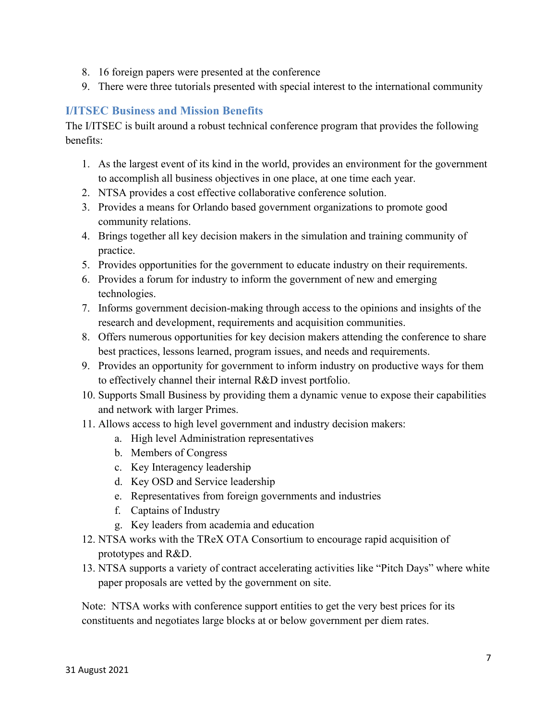- 8. 16 foreign papers were presented at the conference
- 9. There were three tutorials presented with special interest to the international community

### **I/ITSEC Business and Mission Benefits**

The I/ITSEC is built around a robust technical conference program that provides the following benefits:

- 1. As the largest event of its kind in the world, provides an environment for the government to accomplish all business objectives in one place, at one time each year.
- 2. NTSA provides a cost effective collaborative conference solution.
- 3. Provides a means for Orlando based government organizations to promote good community relations.
- 4. Brings together all key decision makers in the simulation and training community of practice.
- 5. Provides opportunities for the government to educate industry on their requirements.
- 6. Provides a forum for industry to inform the government of new and emerging technologies.
- 7. Informs government decision-making through access to the opinions and insights of the research and development, requirements and acquisition communities.
- 8. Offers numerous opportunities for key decision makers attending the conference to share best practices, lessons learned, program issues, and needs and requirements.
- 9. Provides an opportunity for government to inform industry on productive ways for them to effectively channel their internal R&D invest portfolio.
- 10. Supports Small Business by providing them a dynamic venue to expose their capabilities and network with larger Primes.
- 11. Allows access to high level government and industry decision makers:
	- a. High level Administration representatives
	- b. Members of Congress
	- c. Key Interagency leadership
	- d. Key OSD and Service leadership
	- e. Representatives from foreign governments and industries
	- f. Captains of Industry
	- g. Key leaders from academia and education
- 12. NTSA works with the TReX OTA Consortium to encourage rapid acquisition of prototypes and R&D.
- 13. NTSA supports a variety of contract accelerating activities like "Pitch Days" where white paper proposals are vetted by the government on site.

Note: NTSA works with conference support entities to get the very best prices for its constituents and negotiates large blocks at or below government per diem rates.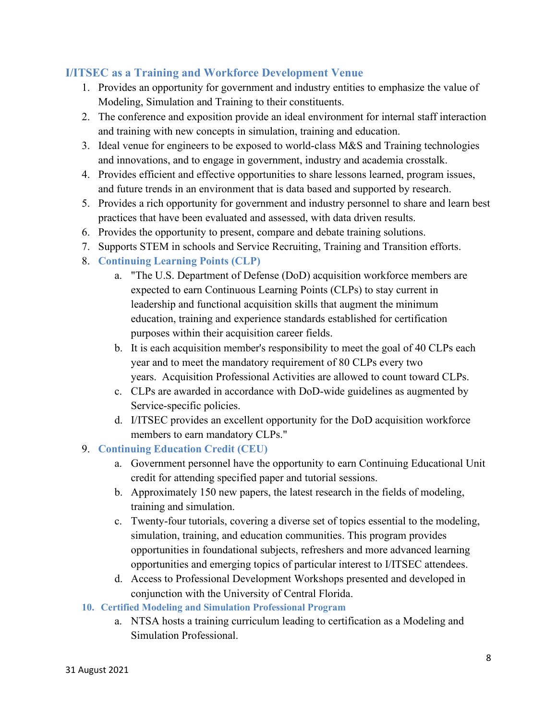### **I/ITSEC as a Training and Workforce Development Venue**

- 1. Provides an opportunity for government and industry entities to emphasize the value of Modeling, Simulation and Training to their constituents.
- 2. The conference and exposition provide an ideal environment for internal staff interaction and training with new concepts in simulation, training and education.
- 3. Ideal venue for engineers to be exposed to world-class M&S and Training technologies and innovations, and to engage in government, industry and academia crosstalk.
- 4. Provides efficient and effective opportunities to share lessons learned, program issues, and future trends in an environment that is data based and supported by research.
- 5. Provides a rich opportunity for government and industry personnel to share and learn best practices that have been evaluated and assessed, with data driven results.
- 6. Provides the opportunity to present, compare and debate training solutions.
- 7. Supports STEM in schools and Service Recruiting, Training and Transition efforts.
- 8. **Continuing Learning Points (CLP)**
	- a. "The U.S. Department of Defense (DoD) acquisition workforce members are expected to earn Continuous Learning Points (CLPs) to stay current in leadership and functional acquisition skills that augment the minimum education, training and experience standards established for certification purposes within their acquisition career fields.
	- b. It is each acquisition member's responsibility to meet the goal of 40 CLPs each year and to meet the mandatory requirement of 80 CLPs every two years. Acquisition Professional Activities are allowed to count toward CLPs.
	- c. CLPs are awarded in accordance with DoD-wide guidelines as augmented by Service-specific policies.
	- d. I/ITSEC provides an excellent opportunity for the DoD acquisition workforce members to earn mandatory CLPs."
- 9. **Continuing Education Credit (CEU)**
	- a. Government personnel have the opportunity to earn Continuing Educational Unit credit for attending specified paper and tutorial sessions.
	- b. Approximately 150 new papers, the latest research in the fields of modeling, training and simulation.
	- c. Twenty-four tutorials, covering a diverse set of topics essential to the modeling, simulation, training, and education communities. This program provides opportunities in foundational subjects, refreshers and more advanced learning opportunities and emerging topics of particular interest to I/ITSEC attendees.
	- d. Access to Professional Development Workshops presented and developed in conjunction with the University of Central Florida.
- **10. Certified Modeling and Simulation Professional Program**
	- a. NTSA hosts a training curriculum leading to certification as a Modeling and Simulation Professional.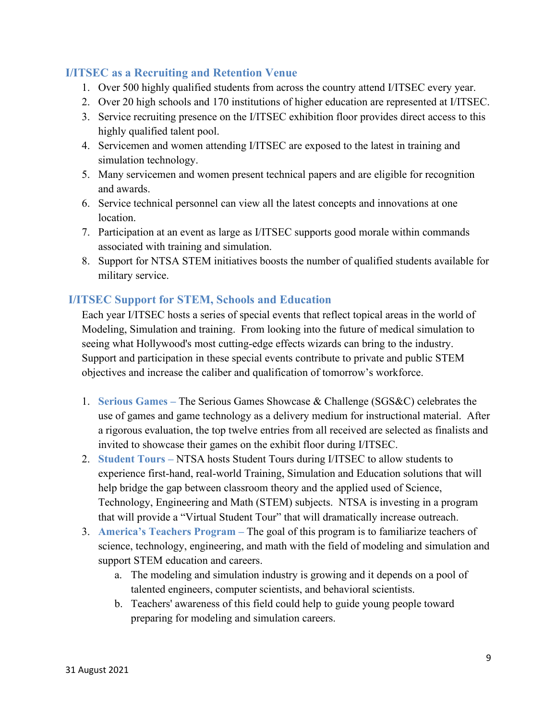### **I/ITSEC as a Recruiting and Retention Venue**

- 1. Over 500 highly qualified students from across the country attend I/ITSEC every year.
- 2. Over 20 high schools and 170 institutions of higher education are represented at I/ITSEC.
- 3. Service recruiting presence on the I/ITSEC exhibition floor provides direct access to this highly qualified talent pool.
- 4. Servicemen and women attending I/ITSEC are exposed to the latest in training and simulation technology.
- 5. Many servicemen and women present technical papers and are eligible for recognition and awards.
- 6. Service technical personnel can view all the latest concepts and innovations at one location.
- 7. Participation at an event as large as I/ITSEC supports good morale within commands associated with training and simulation.
- 8. Support for NTSA STEM initiatives boosts the number of qualified students available for military service.

#### **I/ITSEC Support for STEM, Schools and Education**

Each year I/ITSEC hosts a series of special events that reflect topical areas in the world of Modeling, Simulation and training. From looking into the future of medical simulation to seeing what Hollywood's most cutting-edge effects wizards can bring to the industry. Support and participation in these special events contribute to private and public STEM objectives and increase the caliber and qualification of tomorrow's workforce.

- 1. **Serious Games –** The Serious Games Showcase & Challenge (SGS&C) celebrates the use of games and game technology as a delivery medium for instructional material. After a rigorous evaluation, the top twelve entries from all received are selected as finalists and invited to showcase their games on the exhibit floor during I/ITSEC.
- 2. **Student Tours –** NTSA hosts Student Tours during I/ITSEC to allow students to experience first-hand, real-world Training, Simulation and Education solutions that will help bridge the gap between classroom theory and the applied used of Science, Technology, Engineering and Math (STEM) subjects. NTSA is investing in a program that will provide a "Virtual Student Tour" that will dramatically increase outreach.
- 3. **America's Teachers Program –** The goal of this program is to familiarize teachers of science, technology, engineering, and math with the field of modeling and simulation and support STEM education and careers.
	- a. The modeling and simulation industry is growing and it depends on a pool of talented engineers, computer scientists, and behavioral scientists.
	- b. Teachers' awareness of this field could help to guide young people toward preparing for modeling and simulation careers.